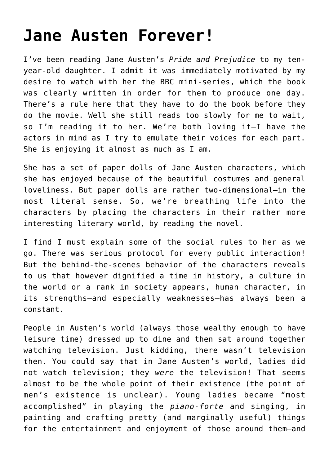## **[Jane Austen Forever!](https://intellectualtakeout.org/2018/12/jane-austen-forever/)**

I've been reading Jane Austen's *Pride and Prejudice* to my tenyear-old daughter. I admit it was immediately motivated by my desire to watch with her the BBC mini-series, which the book was clearly written in order for them to produce one day. There's a rule here that they have to do the book before they do the movie. Well she still reads too slowly for me to wait, so I'm reading it to her. We're both loving it—I have the actors in mind as I try to emulate their voices for each part. She is enjoying it almost as much as I am.

She has a set of paper dolls of Jane Austen characters, which she has enjoyed because of the beautiful costumes and general loveliness. But paper dolls are rather two-dimensional—in the most literal sense. So, we're breathing life into the characters by placing the characters in their rather more interesting literary world, by reading the novel.

I find I must explain some of the social rules to her as we go. There was serious protocol for every public interaction! But the behind-the-scenes behavior of the characters reveals to us that however dignified a time in history, a culture in the world or a rank in society appears, human character, in its strengths—and especially weaknesses—has always been a constant.

People in Austen's world (always those wealthy enough to have leisure time) dressed up to dine and then sat around together watching television. Just kidding, there wasn't television then. You could say that in Jane Austen's world, ladies did not watch television; they *were* the television! That seems almost to be the whole point of their existence (the point of men's existence is unclear). Young ladies became "most accomplished" in playing the *piano-forte* and singing, in painting and crafting pretty (and marginally useful) things for the entertainment and enjoyment of those around them—and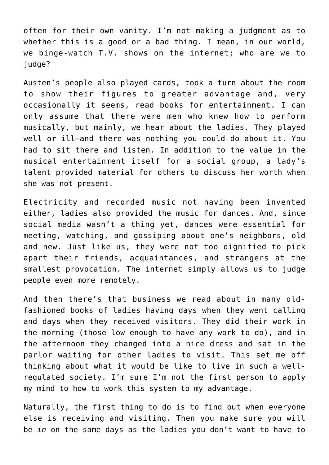often for their own vanity. I'm not making a judgment as to whether this is a good or a bad thing. I mean, in our world, we binge-watch T.V. shows on the internet; who are we to judge?

Austen's people also played cards, took a turn about the room to show their figures to greater advantage and, very occasionally it seems, read books for entertainment. I can only assume that there were men who knew how to perform musically, but mainly, we hear about the ladies. They played well or ill—and there was nothing you could do about it. You had to sit there and listen. In addition to the value in the musical entertainment itself for a social group, a lady's talent provided material for others to discuss her worth when she was not present.

Electricity and recorded music not having been invented either, ladies also provided the music for dances. And, since social media wasn't a thing yet, dances were essential for meeting, watching, and gossiping about one's neighbors, old and new. Just like us, they were not too dignified to pick apart their friends, acquaintances, and strangers at the smallest provocation. The internet simply allows us to judge people even more remotely.

And then there's that business we read about in many oldfashioned books of ladies having days when they went calling and days when they received visitors. They did their work in the morning (those low enough to have any work to do), and in the afternoon they changed into a nice dress and sat in the parlor waiting for other ladies to visit. This set me off thinking about what it would be like to live in such a wellregulated society. I'm sure I'm not the first person to apply my mind to how to work this system to my advantage.

Naturally, the first thing to do is to find out when everyone else is receiving and visiting. Then you make sure you will be *in* on the same days as the ladies you don't want to have to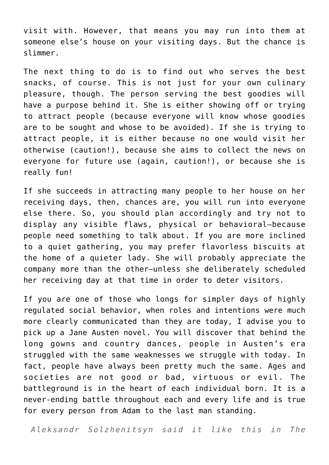visit with. However, that means you may run into them at someone else's house on your visiting days. But the chance is slimmer.

The next thing to do is to find out who serves the best snacks, of course. This is not just for your own culinary pleasure, though. The person serving the best goodies will have a purpose behind it. She is either showing off or trying to attract people (because everyone will know whose goodies are to be sought and whose to be avoided). If she is trying to attract people, it is either because no one would visit her otherwise (caution!), because she aims to collect the news on everyone for future use (again, caution!), or because she is really fun!

If she succeeds in attracting many people to her house on her receiving days, then, chances are, you will run into everyone else there. So, you should plan accordingly and try not to display any visible flaws, physical or behavioral—because people need something to talk about. If you are more inclined to a quiet gathering, you may prefer flavorless biscuits at the home of a quieter lady. She will probably appreciate the company more than the other—unless she deliberately scheduled her receiving day at that time in order to deter visitors.

If you are one of those who longs for simpler days of highly regulated social behavior, when roles and intentions were much more clearly communicated than they are today, I advise you to pick up a Jane Austen novel. You will discover that behind the long gowns and country dances, people in Austen's era struggled with the same weaknesses we struggle with today. In fact, people have always been pretty much the same. Ages and societies are not good or bad, virtuous or evil. The battleground is in the heart of each individual born. It is a never-ending battle throughout each and every life and is true for every person from Adam to the last man standing.

*Aleksandr Solzhenitsyn said it like this in The*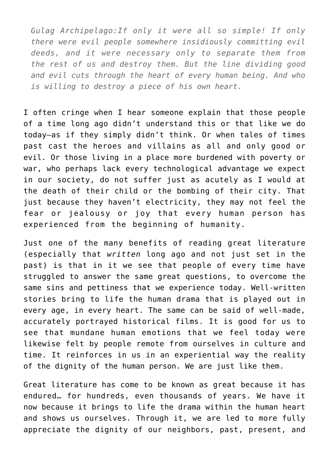*Gulag Archipelago:If only it were all so simple! If only there were evil people somewhere insidiously committing evil deeds, and it were necessary only to separate them from the rest of us and destroy them. But the line dividing good and evil cuts through the heart of every human being. And who is willing to destroy a piece of his own heart.*

I often cringe when I hear someone explain that those people of a time long ago didn't understand this or that like we do today—as if they simply didn't think. Or when tales of times past cast the heroes and villains as all and only good or evil. Or those living in a place more burdened with poverty or war, who perhaps lack every technological advantage we expect in our society, do not suffer just as acutely as I would at the death of their child or the bombing of their city. That just because they haven't electricity, they may not feel the fear or jealousy or joy that every human person has experienced from the beginning of humanity.

Just one of the many benefits of reading great literature (especially that *written* long ago and not just set in the past) is that in it we see that people of every time have struggled to answer the same great questions, to overcome the same sins and pettiness that we experience today. Well-written stories bring to life the human drama that is played out in every age, in every heart. The same can be said of well-made, accurately portrayed historical films. It is good for us to see that mundane human emotions that we feel today were likewise felt by people remote from ourselves in culture and time. It reinforces in us in an experiential way the reality of the dignity of the human person. We are just like them.

Great literature has come to be known as great because it has endured… for hundreds, even thousands of years. We have it now because it brings to life the drama within the human heart and shows us ourselves. Through it, we are led to more fully appreciate the dignity of our neighbors, past, present, and